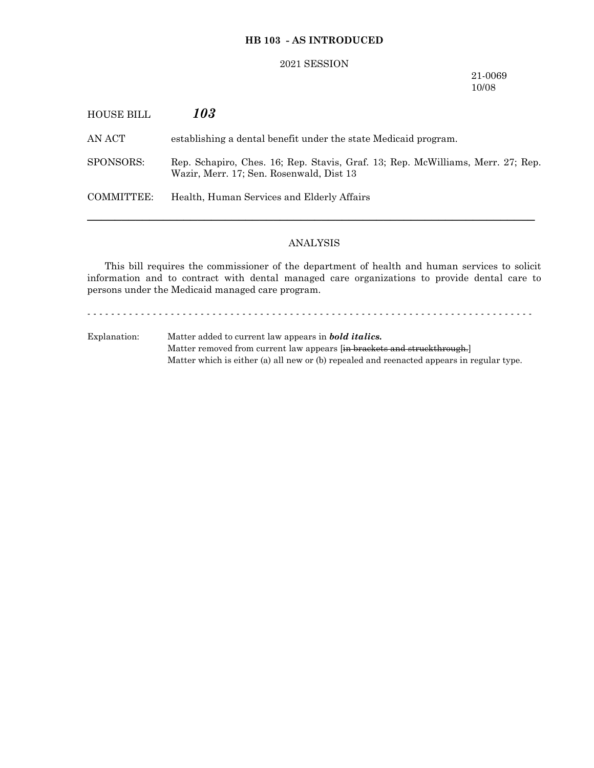# **HB 103 - AS INTRODUCED**

### 2021 SESSION

### 21-0069 10/08

| HOUSE BILL | 103                                                                                                                         |
|------------|-----------------------------------------------------------------------------------------------------------------------------|
| AN ACT     | establishing a dental benefit under the state Medicaid program.                                                             |
| SPONSORS:  | Rep. Schapiro, Ches. 16; Rep. Stavis, Graf. 13; Rep. McWilliams, Merr. 27; Rep.<br>Wazir, Merr. 17; Sen. Rosenwald, Dist 13 |
| COMMITTEE: | Health, Human Services and Elderly Affairs                                                                                  |
|            |                                                                                                                             |

# ANALYSIS

This bill requires the commissioner of the department of health and human services to solicit information and to contract with dental managed care organizations to provide dental care to persons under the Medicaid managed care program.

- - - - - - - - - - - - - - - - - - - - - - - - - - - - - - - - - - - - - - - - - - - - - - - - - - - - - - - - - - - - - - - - - - - - - - - - - - -

Explanation: Matter added to current law appears in *bold italics.* Matter removed from current law appears [in brackets and struckthrough.] Matter which is either (a) all new or (b) repealed and reenacted appears in regular type.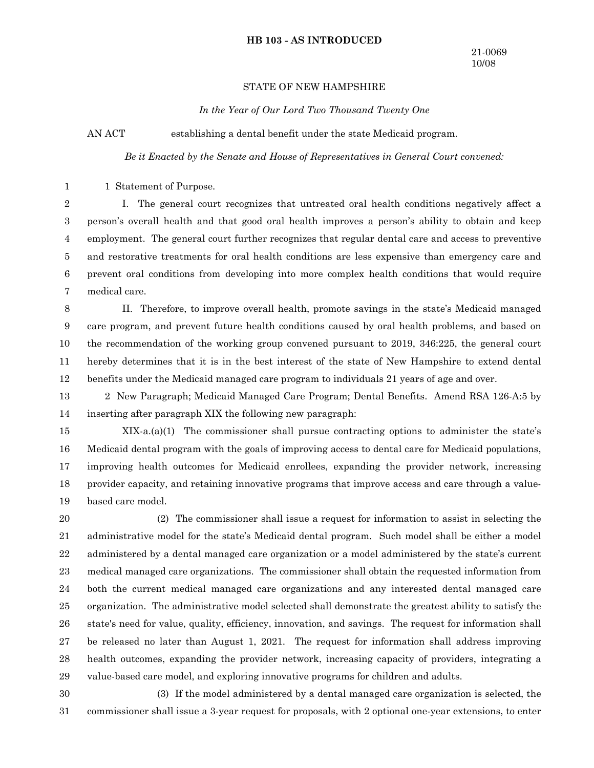#### **HB 103 - AS INTRODUCED**

### STATE OF NEW HAMPSHIRE

*In the Year of Our Lord Two Thousand Twenty One*

AN ACT establishing a dental benefit under the state Medicaid program.

*Be it Enacted by the Senate and House of Representatives in General Court convened:*

1 Statement of Purpose. 1

I. The general court recognizes that untreated oral health conditions negatively affect a person's overall health and that good oral health improves a person's ability to obtain and keep employment. The general court further recognizes that regular dental care and access to preventive and restorative treatments for oral health conditions are less expensive than emergency care and prevent oral conditions from developing into more complex health conditions that would require medical care. 2 3 4 5 6 7

II. Therefore, to improve overall health, promote savings in the state's Medicaid managed care program, and prevent future health conditions caused by oral health problems, and based on the recommendation of the working group convened pursuant to 2019, 346:225, the general court hereby determines that it is in the best interest of the state of New Hampshire to extend dental benefits under the Medicaid managed care program to individuals 21 years of age and over. 8 9 10 11 12

2 New Paragraph; Medicaid Managed Care Program; Dental Benefits. Amend RSA 126-A:5 by inserting after paragraph XIX the following new paragraph: 13 14

 $XIX-a.(a)(1)$  The commissioner shall pursue contracting options to administer the state's Medicaid dental program with the goals of improving access to dental care for Medicaid populations, improving health outcomes for Medicaid enrollees, expanding the provider network, increasing provider capacity, and retaining innovative programs that improve access and care through a valuebased care model. 15 16 17 18 19

(2) The commissioner shall issue a request for information to assist in selecting the administrative model for the state's Medicaid dental program. Such model shall be either a model administered by a dental managed care organization or a model administered by the state's current medical managed care organizations. The commissioner shall obtain the requested information from both the current medical managed care organizations and any interested dental managed care organization. The administrative model selected shall demonstrate the greatest ability to satisfy the state's need for value, quality, efficiency, innovation, and savings. The request for information shall be released no later than August 1, 2021. The request for information shall address improving health outcomes, expanding the provider network, increasing capacity of providers, integrating a value-based care model, and exploring innovative programs for children and adults. 20 21 22 23 24 25 26 27 28 29

(3) If the model administered by a dental managed care organization is selected, the commissioner shall issue a 3-year request for proposals, with 2 optional one-year extensions, to enter 30 31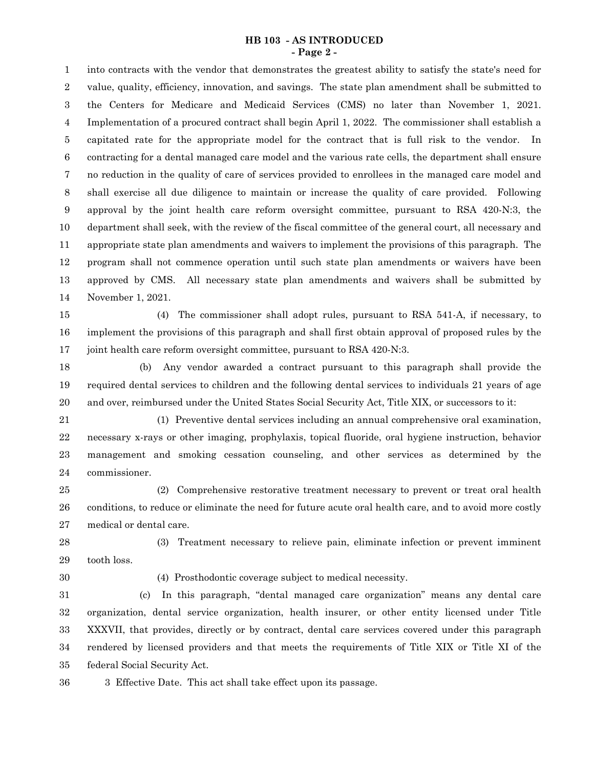#### **HB 103 - AS INTRODUCED - Page 2 -**

into contracts with the vendor that demonstrates the greatest ability to satisfy the state's need for value, quality, efficiency, innovation, and savings. The state plan amendment shall be submitted to the Centers for Medicare and Medicaid Services (CMS) no later than November 1, 2021. Implementation of a procured contract shall begin April 1, 2022. The commissioner shall establish a capitated rate for the appropriate model for the contract that is full risk to the vendor. In contracting for a dental managed care model and the various rate cells, the department shall ensure no reduction in the quality of care of services provided to enrollees in the managed care model and shall exercise all due diligence to maintain or increase the quality of care provided. Following approval by the joint health care reform oversight committee, pursuant to RSA 420-N:3, the department shall seek, with the review of the fiscal committee of the general court, all necessary and appropriate state plan amendments and waivers to implement the provisions of this paragraph. The program shall not commence operation until such state plan amendments or waivers have been approved by CMS. All necessary state plan amendments and waivers shall be submitted by November 1, 2021. 1 2 3 4 5 6 7 8 9 10 11 12 13 14

(4) The commissioner shall adopt rules, pursuant to RSA 541-A, if necessary, to implement the provisions of this paragraph and shall first obtain approval of proposed rules by the joint health care reform oversight committee, pursuant to RSA 420-N:3. 15 16 17

(b) Any vendor awarded a contract pursuant to this paragraph shall provide the required dental services to children and the following dental services to individuals 21 years of age and over, reimbursed under the United States Social Security Act, Title XIX, or successors to it: 18 19 20

(1) Preventive dental services including an annual comprehensive oral examination, necessary x-rays or other imaging, prophylaxis, topical fluoride, oral hygiene instruction, behavior management and smoking cessation counseling, and other services as determined by the commissioner. 21 22 23 24

(2) Comprehensive restorative treatment necessary to prevent or treat oral health conditions, to reduce or eliminate the need for future acute oral health care, and to avoid more costly medical or dental care. 25 26 27

(3) Treatment necessary to relieve pain, eliminate infection or prevent imminent tooth loss. 28 29

30

(4) Prosthodontic coverage subject to medical necessity.

(c) In this paragraph, "dental managed care organization" means any dental care organization, dental service organization, health insurer, or other entity licensed under Title XXXVII, that provides, directly or by contract, dental care services covered under this paragraph rendered by licensed providers and that meets the requirements of Title XIX or Title XI of the federal Social Security Act. 31 32 33 34 35

3 Effective Date. This act shall take effect upon its passage. 36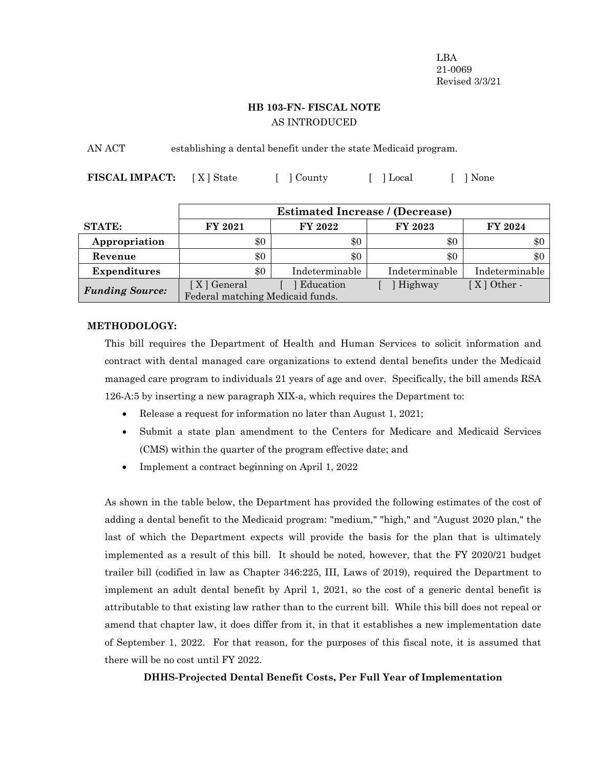LBA 21-0069 Revised 3/3/21

# **HB 103-FN- FISCAL NOTE** AS INTRODUCED

AN ACT establishing a dental benefit under the state Medicaid program.

**FISCAL IMPACT:** [X] State [ ] County [ ] Local [ ] None

|                        | <b>Estimated Increase / (Decrease)</b> |                |                |                |  |  |  |  |  |
|------------------------|----------------------------------------|----------------|----------------|----------------|--|--|--|--|--|
| <b>STATE:</b>          | FY 2021                                | FY 2022        | <b>FY 2023</b> | FY 2024        |  |  |  |  |  |
| Appropriation          | \$0                                    | \$0            | \$0            | \$0            |  |  |  |  |  |
| Revenue                | \$0                                    | \$0            | \$0            | $\$0$          |  |  |  |  |  |
| <b>Expenditures</b>    | \$0                                    | Indeterminable | Indeterminable | Indeterminable |  |  |  |  |  |
| <b>Funding Source:</b> | [ X ] General                          | Education      | Highway        | $[X]$ Other -  |  |  |  |  |  |
|                        | Federal matching Medicaid funds.       |                |                |                |  |  |  |  |  |

### **METHODOLOGY:**

This bill requires the Department of Health and Human Services to solicit information and contract with dental managed care organizations to extend dental benefits under the Medicaid managed care program to individuals 21 years of age and over. Specifically, the bill amends RSA 126-A:5 by inserting a new paragraph XIX-a, which requires the Department to:

- Release a request for information no later than August 1, 2021;
- Submit a state plan amendment to the Centers for Medicare and Medicaid Services (CMS) within the quarter of the program effective date; and
- Implement a contract beginning on April 1, 2022

As shown in the table below, the Department has provided the following estimates of the cost of adding a dental benefit to the Medicaid program: "medium," "high," and "August 2020 plan," the last of which the Department expects will provide the basis for the plan that is ultimately implemented as a result of this bill. It should be noted, however, that the FY 2020/21 budget trailer bill (codified in law as Chapter 346:225, III, Laws of 2019), required the Department to implement an adult dental benefit by April 1, 2021, so the cost of a generic dental benefit is attributable to that existing law rather than to the current bill. While this bill does not repeal or amend that chapter law, it does differ from it, in that it establishes a new implementation date of September 1, 2022. For that reason, for the purposes of this fiscal note, it is assumed that there will be no cost until FY 2022.

### **DHHS-Projected Dental Benefit Costs, Per Full Year of Implementation**